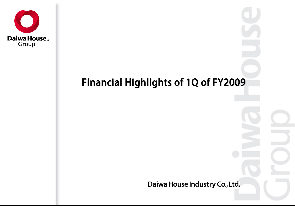

# Financial Highlights of 1Q of FY2009

Daiwa House Industry Co., Ltd.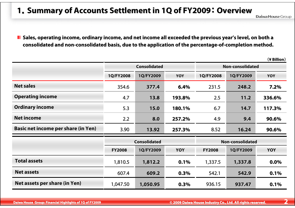#### **1. Summary of Accounts Settlement in 1Q of FY2009: Overview**

Sales, operating income, ordinary income, and net income all exceeded the previous year's level, on both a consolidated and non-consolidated basis, due to the application of the percentage-of-completion method.

|                                            |               |                     |            |                         |           | (¥ Billion) |  |
|--------------------------------------------|---------------|---------------------|------------|-------------------------|-----------|-------------|--|
|                                            |               | <b>Consolidated</b> |            | Non-consolidated        |           |             |  |
|                                            | 1Q/FY2008     | 1Q/FY2009           | <b>YOY</b> | 1Q/FY2008               | 1Q/FY2009 | <b>YOY</b>  |  |
| <b>Net sales</b>                           | 354.6         | 377.4               | 6.4%       | 231.5                   | 248.2     | 7.2%        |  |
| <b>Operating income</b>                    | 4.7           | 13.8                | 193.8%     | 2.5                     | 11.2      | 336.6%      |  |
| <b>Ordinary income</b>                     | 5.3           | 15.0                | 180.1%     | 6.7                     | 14.7      | 117.3%      |  |
| <b>Net income</b>                          | 2.2           | 8.0                 | 257.2%     | 4.9                     | 9.4       | 90.6%       |  |
| <b>Basic net income per share (in Yen)</b> | 3.90          | 13.92               | 257.3%     | 8.52                    | 16.24     | 90.6%       |  |
|                                            |               | <b>Consolidated</b> |            | <b>Non-consolidated</b> |           |             |  |
|                                            | <b>FY2008</b> | 1Q/FY2009           | <b>YOY</b> | <b>FY2008</b>           | 1Q/FY2009 | <b>YOY</b>  |  |
| <b>Total assets</b>                        | 1,810.5       | 1,812.2             | 0.1%       | 1,337.5                 | 1,337.8   | 0.0%        |  |
| <b>Net assets</b>                          | 607.4         | 609.2               | 0.3%       | 542.1                   | 542.9     | 0.1%        |  |
| Net assets per share (in Yen)              | 1,047.50      | 1,050.95            | 0.3%       | 936.15                  | 937.47    | 0.1%        |  |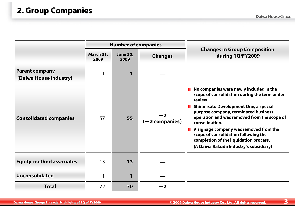|                                                 |                   | <b>Number of companies</b> |                          |                                                                                                                                                                                                                                                                                                                                                                                                                                                |
|-------------------------------------------------|-------------------|----------------------------|--------------------------|------------------------------------------------------------------------------------------------------------------------------------------------------------------------------------------------------------------------------------------------------------------------------------------------------------------------------------------------------------------------------------------------------------------------------------------------|
|                                                 | March 31,<br>2009 | <b>June 30,</b><br>2009    | <b>Changes</b>           | <b>Changes in Group Composition</b><br>during 1Q/FY2009                                                                                                                                                                                                                                                                                                                                                                                        |
| <b>Parent company</b><br>(Daiwa House Industry) | 1                 |                            |                          |                                                                                                                                                                                                                                                                                                                                                                                                                                                |
| <b>Consolidated companies</b>                   | 57                | 55                         | $-2$<br>$(-2$ companies) | No companies were newly included in the<br>scope of consolidation during the term under<br>review.<br>Shinmisato Development One, a special<br>П<br>purpose company, terminated business<br>operation and was removed from the scope of<br>consolidation.<br>$\blacksquare$ A signage company was removed from the<br>scope of consolidation following the<br>completion of the liquidation process.<br>(A Daiwa Rakuda Industry's subsidiary) |
| <b>Equity-method associates</b>                 | 13                | 13                         |                          |                                                                                                                                                                                                                                                                                                                                                                                                                                                |
| <b>Unconsolidated</b>                           | 1                 | $\mathbf{1}$               |                          |                                                                                                                                                                                                                                                                                                                                                                                                                                                |
| <b>Total</b>                                    | 72                | 70                         |                          |                                                                                                                                                                                                                                                                                                                                                                                                                                                |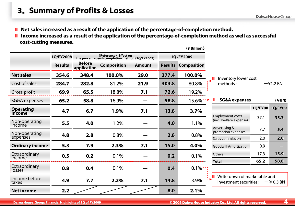#### **<sup>3</sup>**. **Summary of Profits & Losses Summary of Profits & Losses**

**Net sales increased as a result of the application of the percentage-of-completion method.** 

Income increased as a result of the application of the percentage-of-completion method as well as successful **comp cost-cutting measures. cutting measures.**

|                           |                |                              |                                                                          |               |       | (¥ Billion)                |                                           |                |                      |
|---------------------------|----------------|------------------------------|--------------------------------------------------------------------------|---------------|-------|----------------------------|-------------------------------------------|----------------|----------------------|
|                           | 1Q/FY2008      |                              | (Reference) Effect on<br>the percentage-of-completion method (1Q/FY2009) |               |       | 1Q/FY2009                  |                                           |                |                      |
|                           | <b>Results</b> | <b>Before</b><br>application | <b>Composition</b>                                                       | <b>Amount</b> |       | <b>Results Composition</b> |                                           |                |                      |
| <b>Net sales</b>          | 354.6          | 348.4                        | 100.0%                                                                   | 29.0          | 377.4 | 100.0%                     | Inventory lower cost                      |                |                      |
| Cost of sales             | 284.7          | 282.8                        | 81.2%                                                                    | 21.9          | 304.8 | 80.8%                      | methods:                                  |                | $-\frac{2}{1}$ .2 BN |
| Gross profit              | 69.9           | 65.5                         | 18.8%                                                                    | 7.1           | 72.6  | 19.2%                      |                                           |                |                      |
| SG&A expenses             | 65.2           | 58.8                         | 16.9%                                                                    |               | 58.8  | $15.6\%$                   | <b>SG&amp;A expenses</b>                  |                | (                    |
| <b>Operating</b>          | 4.7            | 6.7                          | 1.9%                                                                     | 7.1           | 13.8  | 3.7%                       |                                           | <b>1Q/FY08</b> | <b>1Q/FY09</b>       |
| income                    |                |                              |                                                                          |               |       |                            | <b>Employment costs</b>                   | 37.1           | 35.3                 |
| Non-operating<br>income   | 5.5            | 4.0                          | 1.2%                                                                     |               | 4.0   | 1.1%                       | (incl. welfare expense)                   |                |                      |
|                           |                |                              |                                                                          |               |       |                            | Advertising &<br>promotion expenses       | 7.7            | 5.4                  |
| Non-operating<br>expenses | 4.8            | 2.8                          | 0.8%                                                                     |               | 2.8   | 0.8%                       | Sales commission                          | 2.0            | 2.0                  |
| <b>Ordinary income</b>    | 5.3            | 7.9                          | 2.3%                                                                     | 7.1           | 15.0  | 4.0%                       | <b>Goodwill Amortization</b>              | 0.9            |                      |
| Extraordinary             | 0.5            | 0.2                          | 0.1%                                                                     |               | 0.2   | 0.1%                       | Others                                    | 17.3           | 15.9                 |
| income                    |                |                              |                                                                          |               |       |                            | <b>Total</b>                              | 65.2           | 58.8                 |
| Extraordinary<br>losses   | 0.8            | 0.4                          | 0.1%                                                                     |               | 0.4   | $0.1\%$                    |                                           |                |                      |
| Income before             | 4.9            | 7.7                          | 2.2%                                                                     | 7.1           | 14.8  | 3.9%                       | Write-down of marketable and              |                |                      |
| taxes                     |                |                              |                                                                          |               |       |                            | investment securities : $-\frac{2}{3}$ BN |                |                      |
| <b>Net income</b>         | 2.2            |                              |                                                                          |               | 8.0   | 2.1%                       |                                           |                |                      |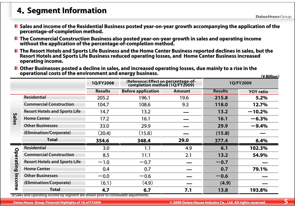#### **<sup>4</sup>**.**Segment Information Segment Information**

- Sales and income of the Residential Business posted year-on-year growth accompanying the application of the **percentage percentage-of-completion method. completion method.**
- The Commercial Construction Business also posted year-on-year growth in sales and operating income<br>without the application of the percentage-of-completion method.
- The Resort Hotels and Sports Life Business and the Home Center Business reported declines in sales, but the Re<br>Resort Hotels and Sports Life Business reduced operating losses, and Home Center Business increased **operating income. operating income.**
- $\blacksquare$  Other Businesses posted a decline in sales, and increased operating losses, due mainly to a rise in the operational costs of the environment and energy business.

|              |                                                                                                 |                | <u>(¥ Billion)</u>                                                    |               |                |                  |
|--------------|-------------------------------------------------------------------------------------------------|----------------|-----------------------------------------------------------------------|---------------|----------------|------------------|
|              |                                                                                                 | 1Q/FY2008      | (Reference) Effect on percentage-of-<br>completion method (1Q/FY2009) |               |                | 1Q/FY2009        |
|              |                                                                                                 | <b>Results</b> | <b>Before application</b>                                             | <b>Amount</b> | <b>Results</b> | <b>YOY</b> ratio |
|              | <b>Residential</b>                                                                              | 205.2          | 196.1                                                                 | 19.6          | 215.8          | 5.2%             |
| <b>Sales</b> | <b>Commercial Construction</b>                                                                  | 104.7          | 108.6                                                                 | 9.3           | 118.0          | 12.7%            |
|              | <b>Resort Hotels and Sports Life</b>                                                            | 14.7           | 13.2                                                                  |               | 13.2           | $-10.2%$         |
|              | <b>Home Center</b>                                                                              | 17.2           | 16.1                                                                  |               | 16.1           | $-6.3%$          |
|              | <b>Other Businesses</b>                                                                         | 33.0           | 29.9                                                                  |               | 29.9           | $-9.4%$          |
|              | (Elimination/Corporate)                                                                         | (20.4)         | (15.8)                                                                |               | (15.8)         |                  |
|              | <b>Total</b>                                                                                    | 354.6          | 348.4                                                                 | 29.0          | 377.4          | 6.4%             |
| $\circ$      | <b>Residential</b>                                                                              | 3.0            | 1.1                                                                   | 4.9           | 6.1            | 102.3%           |
|              | <b>Commercial Construction</b>                                                                  | 8.5            | 11.1                                                                  | 2.1           | 13.2           | 54.9%            |
| peratil      | <b>Resort Hotels and Sports Life</b>                                                            | $-1.0$         | $-0.7$                                                                |               | $-0.7$         |                  |
| تق           | <b>Home Center</b>                                                                              | 0.4            | 0.7                                                                   |               | 0.7            | 79.1%            |
| 3            | <b>Other Businesses</b>                                                                         | $-0.0$         | $-0.6$                                                                |               | $-0.6$         |                  |
|              | (Elimination/Corporate)                                                                         | (6.1)          | (4.9)                                                                 |               | (4.9)          |                  |
| me           | <b>Total</b><br>Salacand Operating income by segment are shown prior to consolidate adjustments | 4.7            | 6,7                                                                   | 7.1           | 13.8           | 193.8%           |

※Sales and Operating income by segment are shown prior to consoli gment are shown prior to consolidate adjustments. date adjustments.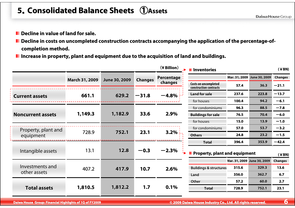# **5**.**Consolidated Balance Sheets Consolidated Balance Sheets** ①**Assets**

- **Decline in value of land for sale. Decline in value of land for sale.**
- Decline in costs on uncompleted construction contracts accompanying the application of the percentage-of**completion method. completion method.**
- **Increase in property, plant and equipment due to the acquisition Increase in property, plant and equipment due to the acquisitionof land and buildings. of land and buildings.**

|                          |                       |               |                | (¥ Billion) | <b>I</b> Inventories                                  |       |                             | (              |
|--------------------------|-----------------------|---------------|----------------|-------------|-------------------------------------------------------|-------|-----------------------------|----------------|
|                          | <b>March 31, 2009</b> | June 30, 2009 | <b>Changes</b> | Percentage  |                                                       |       | Mar. 31, 2009 June 30, 2009 | <b>Changes</b> |
|                          |                       |               |                | changes     | <b>Costs on uncompleted</b><br>construction contracts | 57.4  | 36.3                        | $-21.1$        |
| <b>Current assets</b>    | 661.1                 | 629.2         | $-31.8$        | $-4.8%$     | <b>Land for sale</b>                                  | 237.6 | 223.8                       | $-13.7$        |
|                          |                       |               |                |             | for houses                                            | 100.4 | 94.2                        | $-6.1$         |
|                          |                       |               |                |             | for condominiums                                      | 96.3  | 88.5                        | $-7.8$         |
| <b>Noncurrent assets</b> | 1,149.3               | 1,182.9       | 33.6           | 2.9%        | <b>Buildings for sale</b>                             | 76.5  | 70.4                        | $-6.0$         |
|                          |                       |               |                |             | for houses                                            | 15.0  | 13.9                        | $-1.0$         |
| Property, plant and      |                       |               |                |             | for condominiums                                      | 57.0  | 53.7                        | $-3.2$         |
| equipment                | 728.9                 | 752.1         | 23.1           | 3.2%        | <b>Others</b>                                         | 24.8  | 23.2                        | $-1.5$         |
|                          |                       |               |                |             | <b>Total</b>                                          | 396.4 | 353.9                       | $-42.4$        |
| Intangible assets        | 13.1                  | 12.8          | $-0.3$         | $-2.3%$     | <b>Property, plant and equipment</b>                  |       |                             | $(*BN)$        |
|                          |                       |               |                |             |                                                       |       | Mar. 31, 2009 June 30, 2009 | <b>Changes</b> |
| Investments and          | 407.2                 | 417.9         | 10.7           | 2.6%        | <b>Buildings &amp; structures</b>                     | 315.6 | 329.3                       | 13.6           |
| other assets             |                       |               |                |             | Land                                                  | 356.0 | 362.7                       | 6.7            |
|                          |                       |               |                |             | Other                                                 | 57.2  | 60.0                        | 2.7            |
| <b>Total assets</b>      | 1,810.5               | 1,812.2       | 1.7            | 0.1%        | <b>Total</b>                                          | 728.9 | 752.1                       | 23.1           |
|                          |                       |               |                |             |                                                       |       |                             |                |

**Daiwa House Group**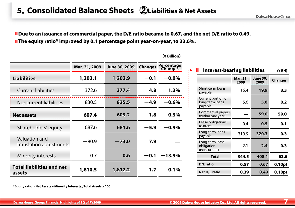## **5**.**Consolidated Balance Sheets Consolidated Balance Sheets** ②**Liabilities & Net Assets Liabilities & Net Assets**

**Due to an issuance of commercial paper, the D/E ratio became to 0.67, and the net D/E ratio to 0.49. The equity ratio\* improved by 0.1 percentage point year-on-year, to 33.6%.** 

|                                            | Mar. 31, 2009 | June 30, 2009 | <b>Changes</b> | Percentage<br>Changes |  |
|--------------------------------------------|---------------|---------------|----------------|-----------------------|--|
| <b>Liabilities</b>                         | 1,203.1       | 1,202.9       | $-0.1$         | $-0.0\%$              |  |
| <b>Current liabilities</b>                 | 372.6         | 377.4         | 4.8            | 1.3%                  |  |
| <b>Noncurrent liabilities</b>              | 830.5         | 825.5         | $-4.9$         | $-0.6%$               |  |
| <b>Net assets</b>                          | 607.4         | 609.2         | 1.8            | 0.3%                  |  |
| Shareholders' equity                       | 687.6         | 681.6         | $-5.9$         | $-0.9\%$              |  |
| Valuation and<br>translation adjustments   | -80.9         | $-73.0$       | 7.9            |                       |  |
| <b>Minority interests</b>                  | 0.7           | 0.6           | $-0.1$         | $-13.9\%$             |  |
| <b>Total liabilities and net</b><br>assets | 1,810.5       | 1,812.2       | 1,7            | 0.1%                  |  |

#### (**¥ Billion**)

| <b>Interest-bearing liabilities</b>              | (¥ BN)           |                         |                |
|--------------------------------------------------|------------------|-------------------------|----------------|
|                                                  | Mar. 31,<br>2009 | <b>June 30,</b><br>2009 | <b>Changes</b> |
| Short-term loans<br>payable                      | 16.4             | 19.9                    | 3.5            |
| Current portion of<br>long-term loans<br>payable | 5.6              | 5.8                     | 0.2            |
| Commercial papers<br>(within one year)           |                  | 59.0                    | 59.0           |
| Lease obligations<br>(current)                   | 0.4              | 0.5                     | 0.1            |
| Long-term loans<br>payable                       | 319.9            | 320.3                   | 0.3            |
| Long-term lease<br>obligation<br>(noncurrent)    | 2.1              | 2.4                     | 0.3            |
| <b>Total</b>                                     | 344.5            | 408.1                   | 63.6           |
| D/E ratio                                        | 0.57             | 0.67                    | 0.10pt         |
| <b>Net D/E ratio</b>                             | 0.39             | 0.49                    | 0.10pt         |

**\*Equity ratio=(Net Assets – Minority Interests)/Total Assets x 100**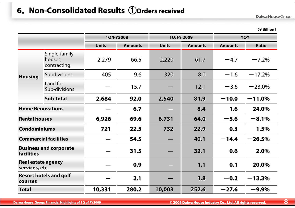## **6. Non-Consolidated Results ①Orders received**

Daiwa House Group

|                                             |                                         |              |                |              |                |                | (¥ Billion)  |  |
|---------------------------------------------|-----------------------------------------|--------------|----------------|--------------|----------------|----------------|--------------|--|
|                                             |                                         |              | 1Q/FY2008      |              | 1Q/FY 2009     | <b>YOY</b>     |              |  |
|                                             |                                         | <b>Units</b> | <b>Amounts</b> | <b>Units</b> | <b>Amounts</b> | <b>Amounts</b> | <b>Ratio</b> |  |
|                                             | Single-family<br>houses,<br>contracting | 2,279        | 66.5           | 2,220        | 61.7           | $-4.7$         | $-7.2%$      |  |
| <b>Housing</b>                              | Subdivisions                            | 405          | 9.6            | 320          | 8.0            | $-1,6$         | $-17.2%$     |  |
|                                             | Land for<br>Sub-divisions               |              | 15.7           |              | 12.1           | $-3.6$         | $-23.0%$     |  |
|                                             | Sub-total                               | 2,684        | 92.0           | 2,540        | 81.9           | $-10.0$        | $-11.0%$     |  |
| <b>Home Renovations</b>                     |                                         |              | 6.7            |              | 8.4            | 1.6            | 24.0%        |  |
| <b>Rental houses</b>                        |                                         | 6,926        | 69.6           | 6,731        | 64.0           | $-5.6$         | $-8.1%$      |  |
| <b>Condominiums</b>                         |                                         | 721          | 22.5           | 732          | 22.9           | 0.3            | 1.5%         |  |
|                                             | <b>Commercial facilities</b>            |              | 54.5           |              | 40.1           | $-14.4$        | $-26.5%$     |  |
| <b>facilities</b>                           | <b>Business and corporate</b>           |              | 31.5           |              | 32.1           | 0.6            | 2.0%         |  |
| <b>Real estate agency</b><br>services, etc. |                                         |              | 0.9            |              | 1.1            | 0.1            | 20.0%        |  |
| <b>Resort hotels and golf</b><br>courses    |                                         |              | 2.1            |              | 1.8            | $-0.2$         | $-13.3%$     |  |
| <b>Total</b>                                |                                         | 10,331       | 280.2          | 10,003       | 252.6          | $-27.6$        | $-9.9\%$     |  |